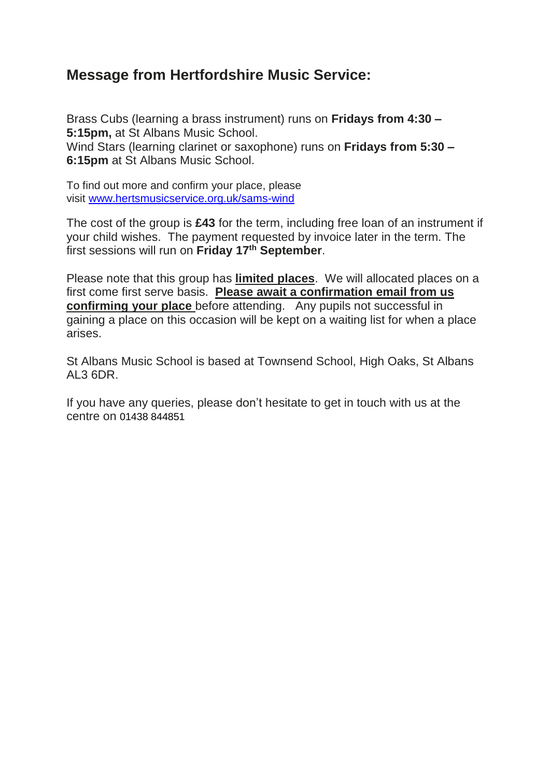# **Message from Hertfordshire Music Service:**

Brass Cubs (learning a brass instrument) runs on **Fridays from 4:30 – 5:15pm,** at St Albans Music School. Wind Stars (learning clarinet or saxophone) runs on **Fridays from 5:30 – 6:15pm** at St Albans Music School.

To find out more and confirm your place, please visit [www.hertsmusicservice.org.uk/sams-wind](http://www.hertsmusicservice.org.uk/sams-wind)

The cost of the group is **£43** for the term, including free loan of an instrument if your child wishes. The payment requested by invoice later in the term. The first sessions will run on **Friday 17th September**.

Please note that this group has **limited places**. We will allocated places on a first come first serve basis. **Please await a confirmation email from us confirming your place** before attending. Any pupils not successful in gaining a place on this occasion will be kept on a waiting list for when a place arises.

St Albans Music School is based at Townsend School, High Oaks, St Albans AL3 6DR.

If you have any queries, please don't hesitate to get in touch with us at the centre on 01438 844851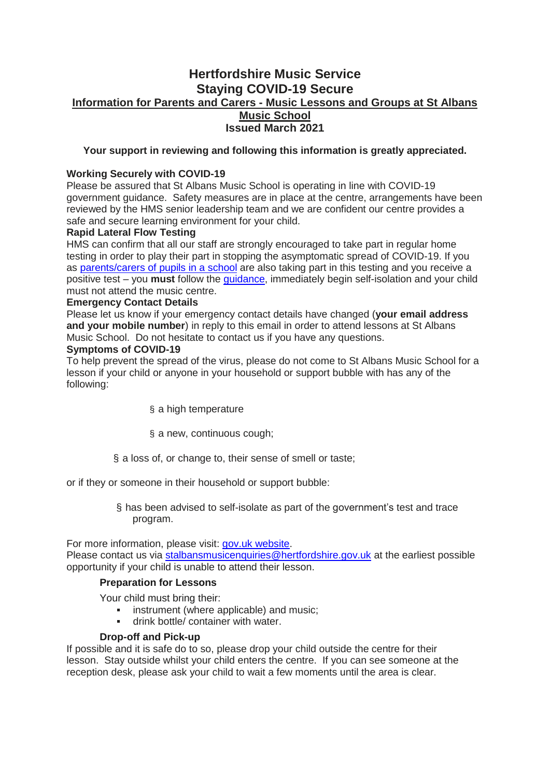# **Hertfordshire Music Service Staying COVID-19 Secure Information for Parents and Carers - Music Lessons and Groups at St Albans Music School Issued March 2021**

# **Your support in reviewing and following this information is greatly appreciated.**

# **Working Securely with COVID-19**

Please be assured that St Albans Music School is operating in line with COVID-19 government guidance. Safety measures are in place at the centre, arrangements have been reviewed by the HMS senior leadership team and we are confident our centre provides a safe and secure learning environment for your child.

## **Rapid Lateral Flow Testing**

HMS can confirm that all our staff are strongly encouraged to take part in regular home testing in order to play their part in stopping the asymptomatic spread of COVID-19. If you as [parents/carers](https://emea01.safelinks.protection.outlook.com/?url=https%3A%2F%2Fwww.gov.uk%2Fgovernment%2Fpublications%2Fcoronavirus-covid-19-asymptomatic-testing-for-staff-in-primary-schools-and-nurseries%2Frapid-asymptomatic-coronavirus-covid-19-testing-for-staff-in-primary-schools-school-based-nurseries-and-maintained-nursery-schools&data=04%7C01%7C%7Cff680cc9d313418042ca08d8feb48ee4%7C84df9e7fe9f640afb435aaaaaaaaaaaa%7C1%7C0%7C637539398736428966%7CUnknown%7CTWFpbGZsb3d8eyJWIjoiMC4wLjAwMDAiLCJQIjoiV2luMzIiLCJBTiI6Ik1haWwiLCJXVCI6Mn0%3D%7C1000&sdata=WvRaioLlixYmPT%2BaZ%2FfA1pCy9fU7MPYNv7VBdOXBbAw%3D&reserved=0) of pupils in a school are also taking part in this testing and you receive a positive test – you **must** follow the [guidance,](https://emea01.safelinks.protection.outlook.com/?url=https%3A%2F%2Fwww.gov.uk%2Fgovernment%2Fpublications%2Fcovid-19-stay-at-home-guidance%2Fstay-at-home-guidance-for-households-with-possible-coronavirus-covid-19-infection&data=04%7C01%7C%7Cff680cc9d313418042ca08d8feb48ee4%7C84df9e7fe9f640afb435aaaaaaaaaaaa%7C1%7C0%7C637539398736438918%7CUnknown%7CTWFpbGZsb3d8eyJWIjoiMC4wLjAwMDAiLCJQIjoiV2luMzIiLCJBTiI6Ik1haWwiLCJXVCI6Mn0%3D%7C1000&sdata=DS%2FqrxdzQFQsFh%2BSK2xLOk1agOJndteECJf%2B9Z8%2F9KY%3D&reserved=0) immediately begin self-isolation and your child must not attend the music centre.

#### **Emergency Contact Details**

Please let us know if your emergency contact details have changed (**your email address and your mobile number**) in reply to this email in order to attend lessons at St Albans Music School. Do not hesitate to contact us if you have any questions.

#### **Symptoms of COVID-19**

To help prevent the spread of the virus, please do not come to St Albans Music School for a lesson if your child or anyone in your household or support bubble with has any of the following:

- § a high temperature
- § a new, continuous cough;
- § a loss of, or change to, their sense of smell or taste;

or if they or someone in their household or support bubble:

§ has been advised to self-isolate as part of the government's test and trace program.

For more information, please visit: gov.uk [website.](https://emea01.safelinks.protection.outlook.com/?url=https%3A%2F%2Fwww.gov.uk%2Fgovernment%2Fpublications%2Fcovid-19-stay-at-home-guidance%2Fstay-at-home-guidance-for-households-with-possible-coronavirus-covid-19-infection&data=04%7C01%7C%7Cff680cc9d313418042ca08d8feb48ee4%7C84df9e7fe9f640afb435aaaaaaaaaaaa%7C1%7C0%7C637539398736438918%7CUnknown%7CTWFpbGZsb3d8eyJWIjoiMC4wLjAwMDAiLCJQIjoiV2luMzIiLCJBTiI6Ik1haWwiLCJXVCI6Mn0%3D%7C1000&sdata=DS%2FqrxdzQFQsFh%2BSK2xLOk1agOJndteECJf%2B9Z8%2F9KY%3D&reserved=0)

Please contact us via [stalbansmusicenquiries@hertfordshire.gov.uk](mailto:stalbansmusicenquiries@hertfordshire.gov.uk) at the earliest possible opportunity if your child is unable to attend their lesson.

#### **Preparation for Lessons**

Your child must bring their:

- **instrument (where applicable) and music;**
- drink bottle/ container with water.

## **Drop-off and Pick-up**

If possible and it is safe do to so, please drop your child outside the centre for their lesson. Stay outside whilst your child enters the centre. If you can see someone at the reception desk, please ask your child to wait a few moments until the area is clear.